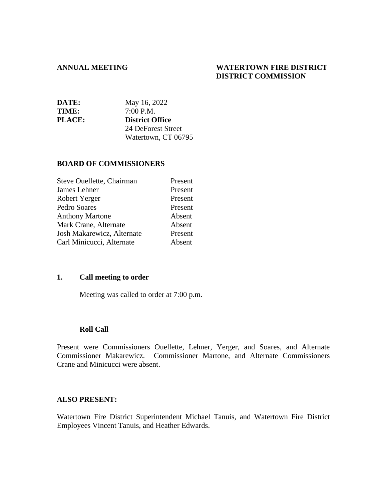#### **ANNUAL MEETING WATERTOWN FIRE DISTRICT DISTRICT COMMISSION**

| DATE:         | May 16, 2022           |
|---------------|------------------------|
| TIME:         | 7:00 P.M.              |
| <b>PLACE:</b> | <b>District Office</b> |
|               | 24 DeForest Street     |
|               | Watertown, CT 06795    |

#### **BOARD OF COMMISSIONERS**

| Steve Ouellette, Chairman  | Present |
|----------------------------|---------|
| James Lehner               | Present |
| Robert Yerger              | Present |
| Pedro Soares               | Present |
| <b>Anthony Martone</b>     | Absent  |
| Mark Crane, Alternate      | Absent  |
| Josh Makarewicz, Alternate | Present |
| Carl Minicucci, Alternate  | Absent  |
|                            |         |

## **1. Call meeting to order**

Meeting was called to order at 7:00 p.m.

#### **Roll Call**

Present were Commissioners Ouellette, Lehner, Yerger, and Soares, and Alternate Commissioner Makarewicz. Commissioner Martone, and Alternate Commissioners Crane and Minicucci were absent.

#### **ALSO PRESENT:**

Watertown Fire District Superintendent Michael Tanuis, and Watertown Fire District Employees Vincent Tanuis, and Heather Edwards.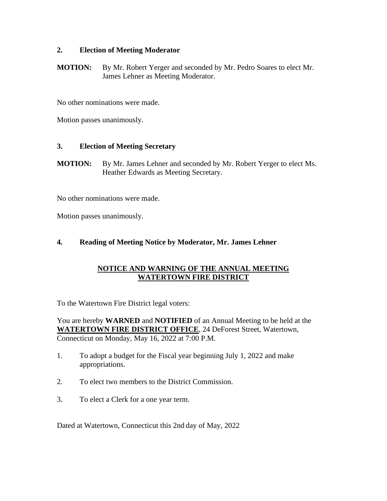## **2. Election of Meeting Moderator**

**MOTION:** By Mr. Robert Yerger and seconded by Mr. Pedro Soares to elect Mr. James Lehner as Meeting Moderator.

No other nominations were made.

Motion passes unanimously.

## **3. Election of Meeting Secretary**

**MOTION:** By Mr. James Lehner and seconded by Mr. Robert Yerger to elect Ms. Heather Edwards as Meeting Secretary.

No other nominations were made.

Motion passes unanimously.

## **4. Reading of Meeting Notice by Moderator, Mr. James Lehner**

## **NOTICE AND WARNING OF THE ANNUAL MEETING WATERTOWN FIRE DISTRICT**

To the Watertown Fire District legal voters:

You are hereby **WARNED** and **NOTIFIED** of an Annual Meeting to be held at the **WATERTOWN FIRE DISTRICT OFFICE**, 24 DeForest Street, Watertown, Connecticut on Monday, May 16, 2022 at 7:00 P.M.

- 1. To adopt a budget for the Fiscal year beginning July 1, 2022 and make appropriations.
- 2. To elect two members to the District Commission.
- 3. To elect a Clerk for a one year term.

Dated at Watertown, Connecticut this 2nd day of May, 2022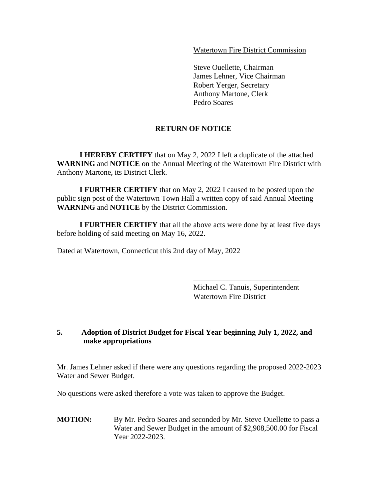Watertown Fire District Commission

Steve Ouellette, Chairman James Lehner, Vice Chairman Robert Yerger, Secretary Anthony Martone, Clerk Pedro Soares

## **RETURN OF NOTICE**

**I HEREBY CERTIFY** that on May 2, 2022 I left a duplicate of the attached **WARNING** and **NOTICE** on the Annual Meeting of the Watertown Fire District with Anthony Martone, its District Clerk.

**I FURTHER CERTIFY** that on May 2, 2022 I caused to be posted upon the public sign post of the Watertown Town Hall a written copy of said Annual Meeting **WARNING** and **NOTICE** by the District Commission.

**I FURTHER CERTIFY** that all the above acts were done by at least five days before holding of said meeting on May 16, 2022.

Dated at Watertown, Connecticut this 2nd day of May, 2022

Michael C. Tanuis, Superintendent Watertown Fire District

\_\_\_\_\_\_\_\_\_\_\_\_\_\_\_\_\_\_\_\_\_\_\_\_\_\_\_\_

## **5. Adoption of District Budget for Fiscal Year beginning July 1, 2022, and make appropriations**

Mr. James Lehner asked if there were any questions regarding the proposed 2022-2023 Water and Sewer Budget.

No questions were asked therefore a vote was taken to approve the Budget.

**MOTION:** By Mr. Pedro Soares and seconded by Mr. Steve Ouellette to pass a Water and Sewer Budget in the amount of \$2,908,500.00 for Fiscal Year 2022-2023.